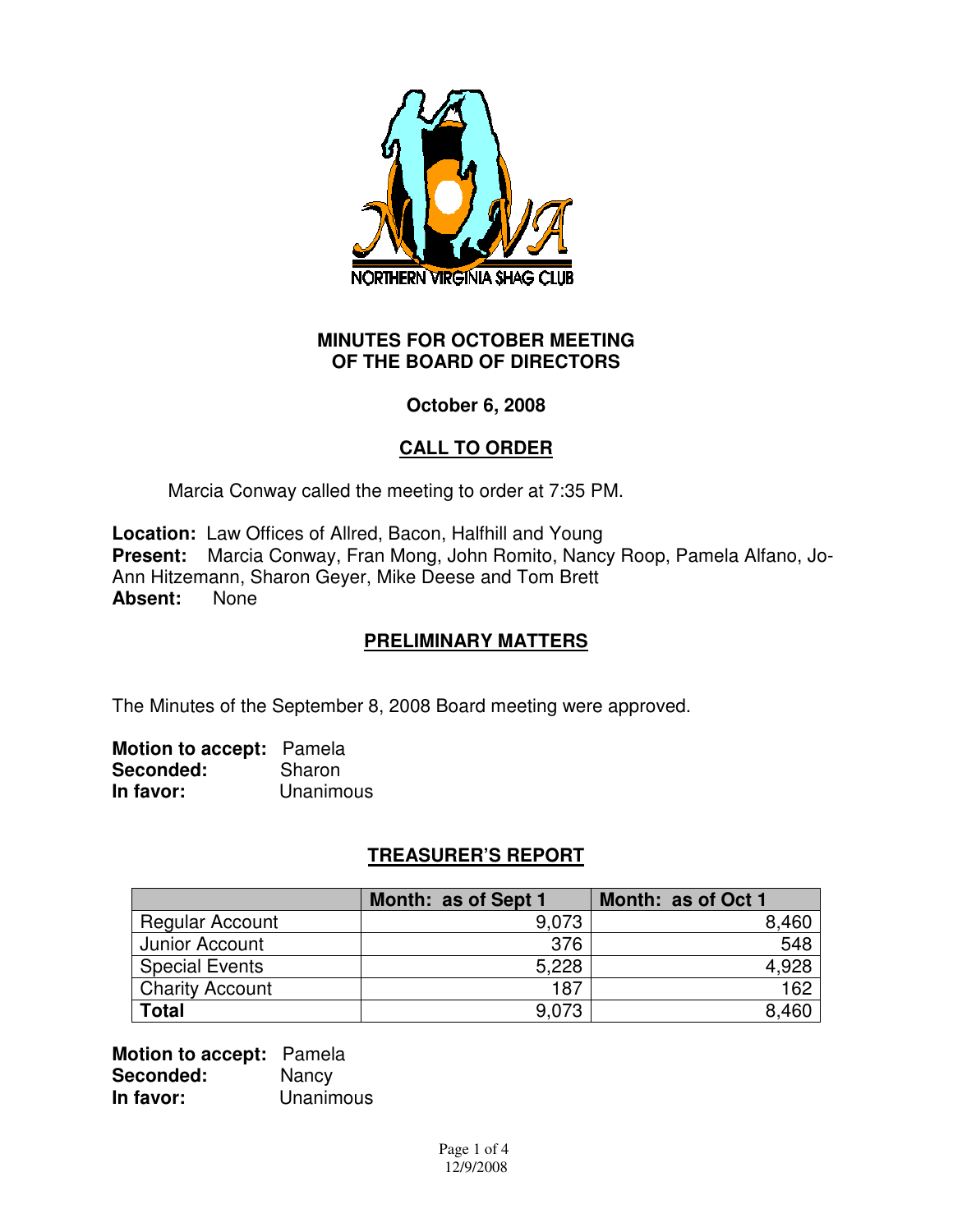

### **MINUTES FOR OCTOBER MEETING OF THE BOARD OF DIRECTORS**

## **October 6, 2008**

## **CALL TO ORDER**

Marcia Conway called the meeting to order at 7:35 PM.

**Location:** Law Offices of Allred, Bacon, Halfhill and Young **Present:** Marcia Conway, Fran Mong, John Romito, Nancy Roop, Pamela Alfano, Jo-Ann Hitzemann, Sharon Geyer, Mike Deese and Tom Brett **Absent:** None

## **PRELIMINARY MATTERS**

The Minutes of the September 8, 2008 Board meeting were approved.

**Motion to accept:** Pamela **Seconded:** Sharon **In favor:** Unanimous

## **TREASURER'S REPORT**

|                        | Month: as of Sept 1 | Month: as of Oct 1 |
|------------------------|---------------------|--------------------|
| <b>Regular Account</b> | 9,073               | 8,460              |
| Junior Account         | 376                 | 548                |
| <b>Special Events</b>  | 5,228               | 4,928              |
| <b>Charity Account</b> | 187                 | 162                |
| <b>Total</b>           | 9,073               | 8,460              |

**Motion to accept:** Pamela **Seconded:** Nancy **In favor:** Unanimous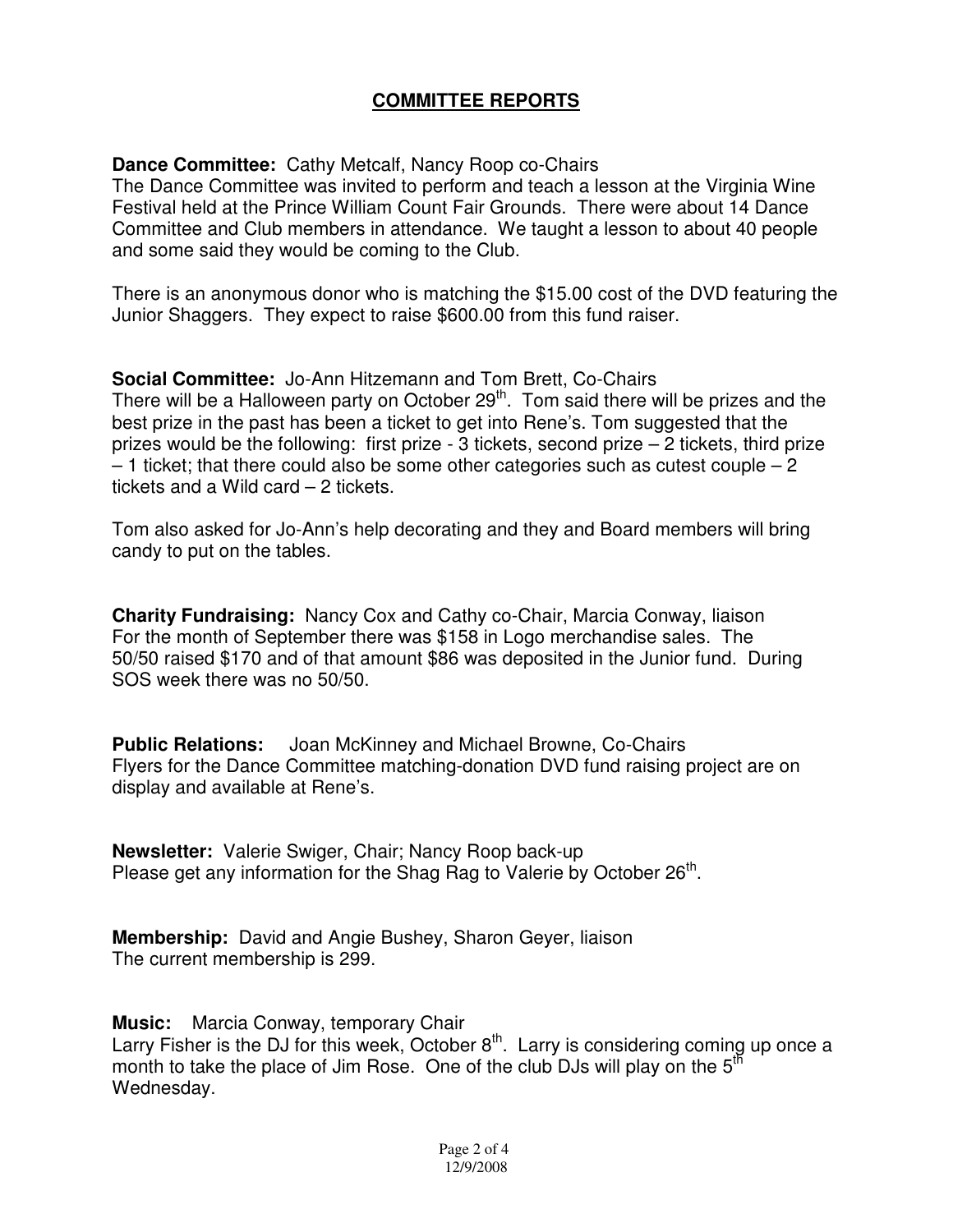## **COMMITTEE REPORTS**

**Dance Committee:** Cathy Metcalf, Nancy Roop co-Chairs

The Dance Committee was invited to perform and teach a lesson at the Virginia Wine Festival held at the Prince William Count Fair Grounds. There were about 14 Dance Committee and Club members in attendance. We taught a lesson to about 40 people and some said they would be coming to the Club.

There is an anonymous donor who is matching the \$15.00 cost of the DVD featuring the Junior Shaggers. They expect to raise \$600.00 from this fund raiser.

**Social Committee:** Jo-Ann Hitzemann and Tom Brett, Co-Chairs There will be a Halloween party on October  $29<sup>th</sup>$ . Tom said there will be prizes and the best prize in the past has been a ticket to get into Rene's. Tom suggested that the prizes would be the following: first prize - 3 tickets, second prize – 2 tickets, third prize  $-1$  ticket; that there could also be some other categories such as cutest couple  $-2$ tickets and a Wild card – 2 tickets.

Tom also asked for Jo-Ann's help decorating and they and Board members will bring candy to put on the tables.

**Charity Fundraising:** Nancy Cox and Cathy co-Chair, Marcia Conway, liaison For the month of September there was \$158 in Logo merchandise sales. The 50/50 raised \$170 and of that amount \$86 was deposited in the Junior fund. During SOS week there was no 50/50.

**Public Relations:** Joan McKinney and Michael Browne, Co-Chairs Flyers for the Dance Committee matching-donation DVD fund raising project are on display and available at Rene's.

**Newsletter:** Valerie Swiger, Chair; Nancy Roop back-up Please get any information for the Shag Rag to Valerie by October 26<sup>th</sup>.

**Membership:** David and Angie Bushey, Sharon Geyer, liaison The current membership is 299.

**Music:** Marcia Conway, temporary Chair

Larry Fisher is the DJ for this week, October  $8<sup>th</sup>$ . Larry is considering coming up once a month to take the place of Jim Rose. One of the club DJs will play on the  $5<sup>th</sup>$ Wednesday.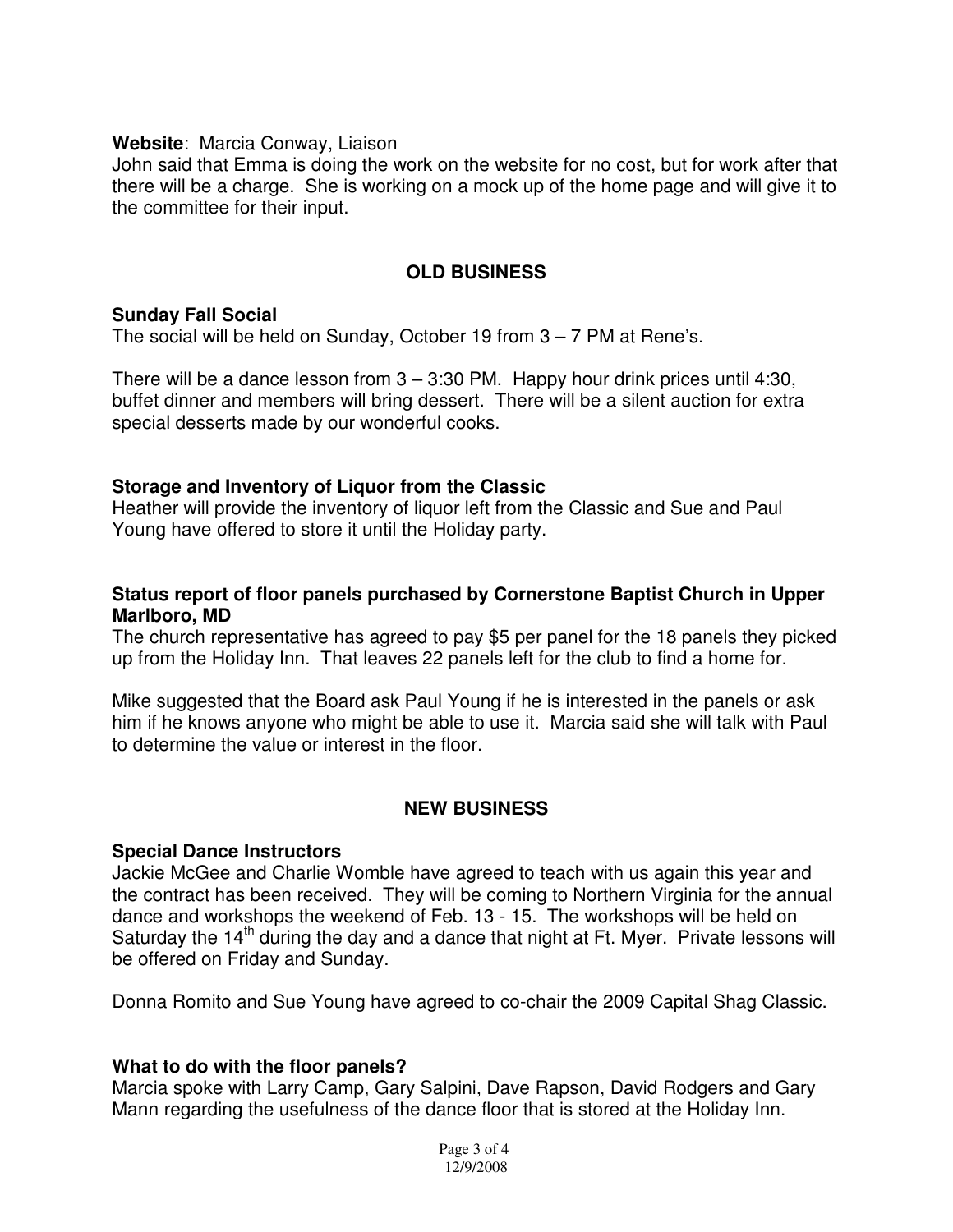#### **Website**: Marcia Conway, Liaison

John said that Emma is doing the work on the website for no cost, but for work after that there will be a charge. She is working on a mock up of the home page and will give it to the committee for their input.

### **OLD BUSINESS**

#### **Sunday Fall Social**

The social will be held on Sunday, October 19 from 3 – 7 PM at Rene's.

There will be a dance lesson from  $3 - 3:30$  PM. Happy hour drink prices until 4:30, buffet dinner and members will bring dessert. There will be a silent auction for extra special desserts made by our wonderful cooks.

#### **Storage and Inventory of Liquor from the Classic**

Heather will provide the inventory of liquor left from the Classic and Sue and Paul Young have offered to store it until the Holiday party.

### **Status report of floor panels purchased by Cornerstone Baptist Church in Upper Marlboro, MD**

The church representative has agreed to pay \$5 per panel for the 18 panels they picked up from the Holiday Inn. That leaves 22 panels left for the club to find a home for.

Mike suggested that the Board ask Paul Young if he is interested in the panels or ask him if he knows anyone who might be able to use it. Marcia said she will talk with Paul to determine the value or interest in the floor.

### **NEW BUSINESS**

#### **Special Dance Instructors**

Jackie McGee and Charlie Womble have agreed to teach with us again this year and the contract has been received. They will be coming to Northern Virginia for the annual dance and workshops the weekend of Feb. 13 - 15. The workshops will be held on Saturday the  $14<sup>th</sup>$  during the day and a dance that night at Ft. Myer. Private lessons will be offered on Friday and Sunday.

Donna Romito and Sue Young have agreed to co-chair the 2009 Capital Shag Classic.

### **What to do with the floor panels?**

Marcia spoke with Larry Camp, Gary Salpini, Dave Rapson, David Rodgers and Gary Mann regarding the usefulness of the dance floor that is stored at the Holiday Inn.